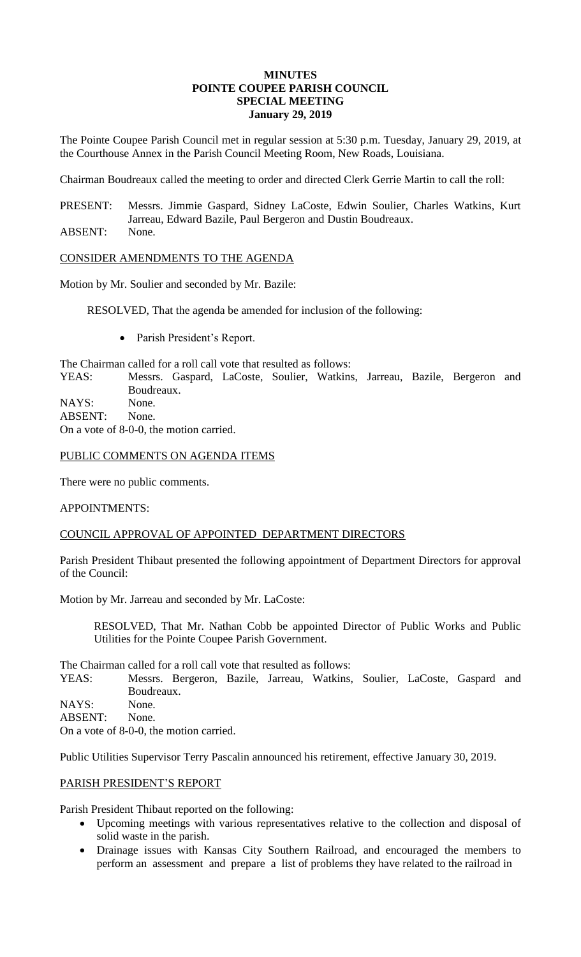#### **MINUTES POINTE COUPEE PARISH COUNCIL SPECIAL MEETING January 29, 2019**

The Pointe Coupee Parish Council met in regular session at 5:30 p.m. Tuesday, January 29, 2019, at the Courthouse Annex in the Parish Council Meeting Room, New Roads, Louisiana.

Chairman Boudreaux called the meeting to order and directed Clerk Gerrie Martin to call the roll:

PRESENT: Messrs. Jimmie Gaspard, Sidney LaCoste, Edwin Soulier, Charles Watkins, Kurt Jarreau, Edward Bazile, Paul Bergeron and Dustin Boudreaux.

ABSENT: None.

# CONSIDER AMENDMENTS TO THE AGENDA

Motion by Mr. Soulier and seconded by Mr. Bazile:

RESOLVED, That the agenda be amended for inclusion of the following:

• Parish President's Report.

The Chairman called for a roll call vote that resulted as follows:

YEAS: Messrs. Gaspard, LaCoste, Soulier, Watkins, Jarreau, Bazile, Bergeron and Boudreaux.

NAYS: None. ABSENT: None. On a vote of 8-0-0, the motion carried.

# PUBLIC COMMENTS ON AGENDA ITEMS

There were no public comments.

# APPOINTMENTS:

# COUNCIL APPROVAL OF APPOINTED DEPARTMENT DIRECTORS

Parish President Thibaut presented the following appointment of Department Directors for approval of the Council:

Motion by Mr. Jarreau and seconded by Mr. LaCoste:

RESOLVED, That Mr. Nathan Cobb be appointed Director of Public Works and Public Utilities for the Pointe Coupee Parish Government.

The Chairman called for a roll call vote that resulted as follows:

YEAS: Messrs. Bergeron, Bazile, Jarreau, Watkins, Soulier, LaCoste, Gaspard and Boudreaux. NAYS: None.

ABSENT: None.

On a vote of 8-0-0, the motion carried.

Public Utilities Supervisor Terry Pascalin announced his retirement, effective January 30, 2019.

# PARISH PRESIDENT'S REPORT

Parish President Thibaut reported on the following:

- Upcoming meetings with various representatives relative to the collection and disposal of solid waste in the parish.
- Drainage issues with Kansas City Southern Railroad, and encouraged the members to perform an assessment and prepare a list of problems they have related to the railroad in